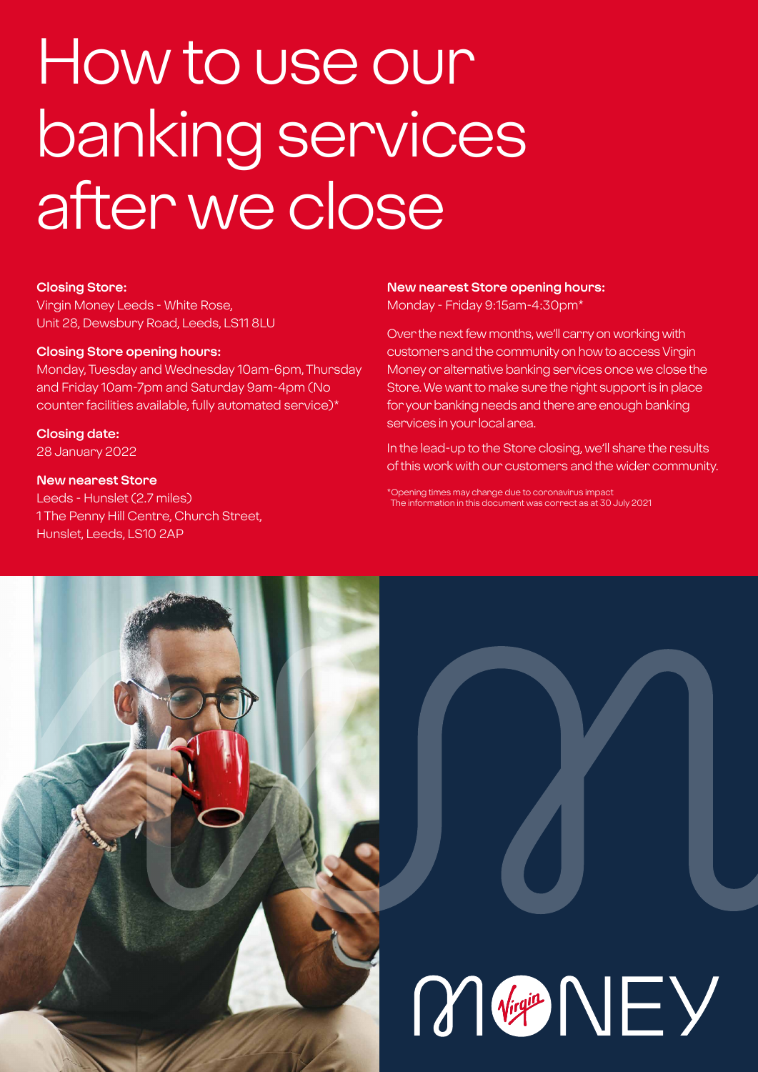# How to use our banking services after we close

#### **Closing Store:**

Virgin Money Leeds - White Rose, Unit 28, Dewsbury Road, Leeds, LS11 8LU

#### **Closing Store opening hours:**

Monday, Tuesday and Wednesday 10am-6pm, Thursday and Friday 10am-7pm and Saturday 9am-4pm (No counter facilities available, fully automated service)\*

**Closing date:**  28 January 2022

#### **New nearest Store**

Leeds - Hunslet (2.7 miles) 1 The Penny Hill Centre, Church Street, Hunslet, Leeds, LS10 2AP

#### **New nearest Store opening hours:** Monday - Friday 9:15am-4:30pm\*

Over the next few months, we'll carry on working with customers and the community on how to access Virgin Money or alternative banking services once we close the Store. We want to make sure the right support is in place for your banking needs and there are enough banking services in your local area.

In the lead-up to the Store closing, we'll share the results of this work with our customers and the wider community.

\*Opening times may change due to coronavirus impact The information in this document was correct as at 30 July 2021

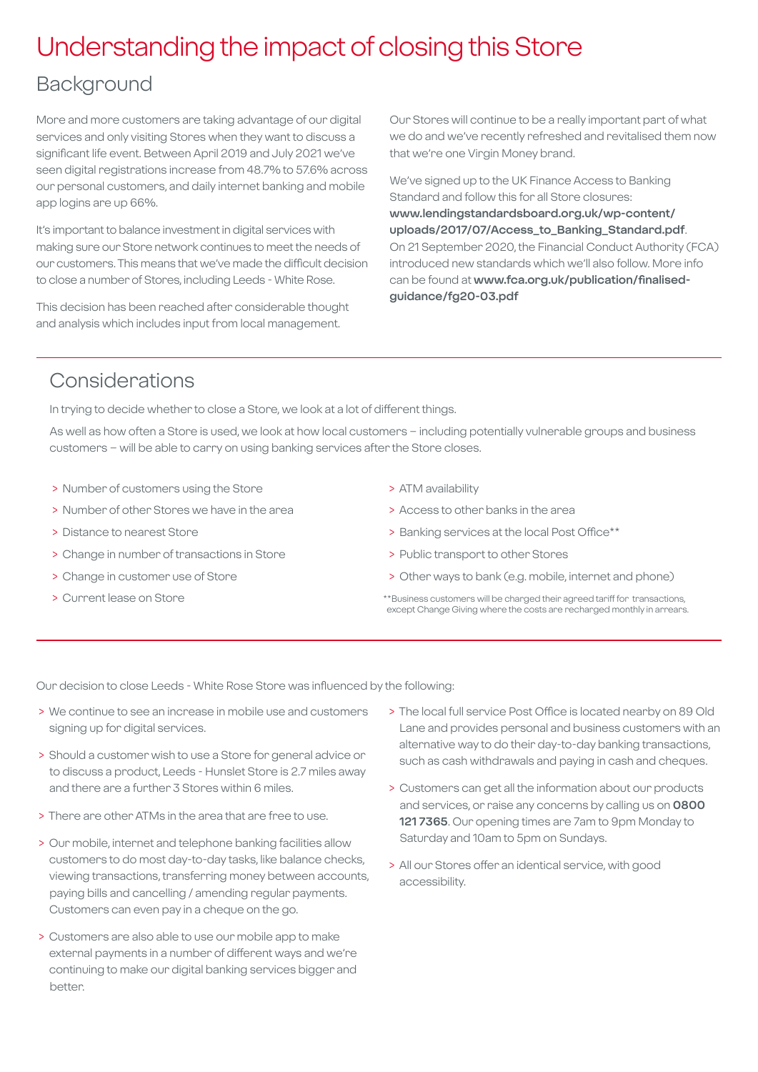## Understanding the impact of closing this Store

## Background

More and more customers are taking advantage of our digital services and only visiting Stores when they want to discuss a significant life event. Between April 2019 and July 2021 we've seen digital registrations increase from 48.7% to 57.6% across our personal customers, and daily internet banking and mobile app logins are up 66%.

It's important to balance investment in digital services with making sure our Store network continues to meet the needs of our customers. This means that we've made the difficult decision to close a number of Stores, including Leeds - White Rose.

This decision has been reached after considerable thought and analysis which includes input from local management.

Our Stores will continue to be a really important part of what we do and we've recently refreshed and revitalised them now that we're one Virgin Money brand.

We've signed up to the UK Finance Access to Banking Standard and follow this for all Store closures: **[www.lendingstandardsboard.org.uk/wp-content/](http://www.lendingstandardsboard.org.uk/wp-content/uploads/2017/07/Access_to_Banking_Standard.pdf) [uploads/2017/07/Access\\_to\\_Banking\\_Standard.pdf](http://www.lendingstandardsboard.org.uk/wp-content/uploads/2017/07/Access_to_Banking_Standard.pdf)**. On 21 September 2020, the Financial Conduct Authority (FCA) introduced new standards which we'll also follow. More info can be found at **[www.fca.org.uk/publication/finalised](http://www.fca.org.uk/publication/finalised-guidance/fg20-03.pdf)[guidance/fg20-03.pdf](http://www.fca.org.uk/publication/finalised-guidance/fg20-03.pdf)**

## Considerations

In trying to decide whether to close a Store, we look at a lot of different things.

As well as how often a Store is used, we look at how local customers – including potentially vulnerable groups and business customers – will be able to carry on using banking services after the Store closes.

- > Number of customers using the Store
- > Number of other Stores we have in the area
- > Distance to nearest Store
- > Change in number of transactions in Store
- > Change in customer use of Store
- > Current lease on Store
- > ATM availability
- > Access to other banks in the area
- > Banking services at the local Post Office\*\*
- > Public transport to other Stores
- > Other ways to bank (e.g. mobile, internet and phone)
- \*\*Business customers will be charged their agreed tariff for transactions, except Change Giving where the costs are recharged monthly in arrears.

Our decision to close Leeds - White Rose Store was influenced by the following:

- > We continue to see an increase in mobile use and customers signing up for digital services.
- > Should a customer wish to use a Store for general advice or to discuss a product, Leeds - Hunslet Store is 2.7 miles away and there are a further 3 Stores within 6 miles.
- > There are other ATMs in the area that are free to use.
- > Our mobile, internet and telephone banking facilities allow customers to do most day-to-day tasks, like balance checks, viewing transactions, transferring money between accounts, paying bills and cancelling / amending regular payments. Customers can even pay in a cheque on the go.
- > Customers are also able to use our mobile app to make external payments in a number of different ways and we're continuing to make our digital banking services bigger and better.
- > The local full service Post Office is located nearby on 89 Old Lane and provides personal and business customers with an alternative way to do their day-to-day banking transactions, such as cash withdrawals and paying in cash and cheques.
- > Customers can get all the information about our products and services, or raise any concerns by calling us on **0800 121 7365**. Our opening times are 7am to 9pm Monday to Saturday and 10am to 5pm on Sundays.
- > All our Stores offer an identical service, with good accessibility.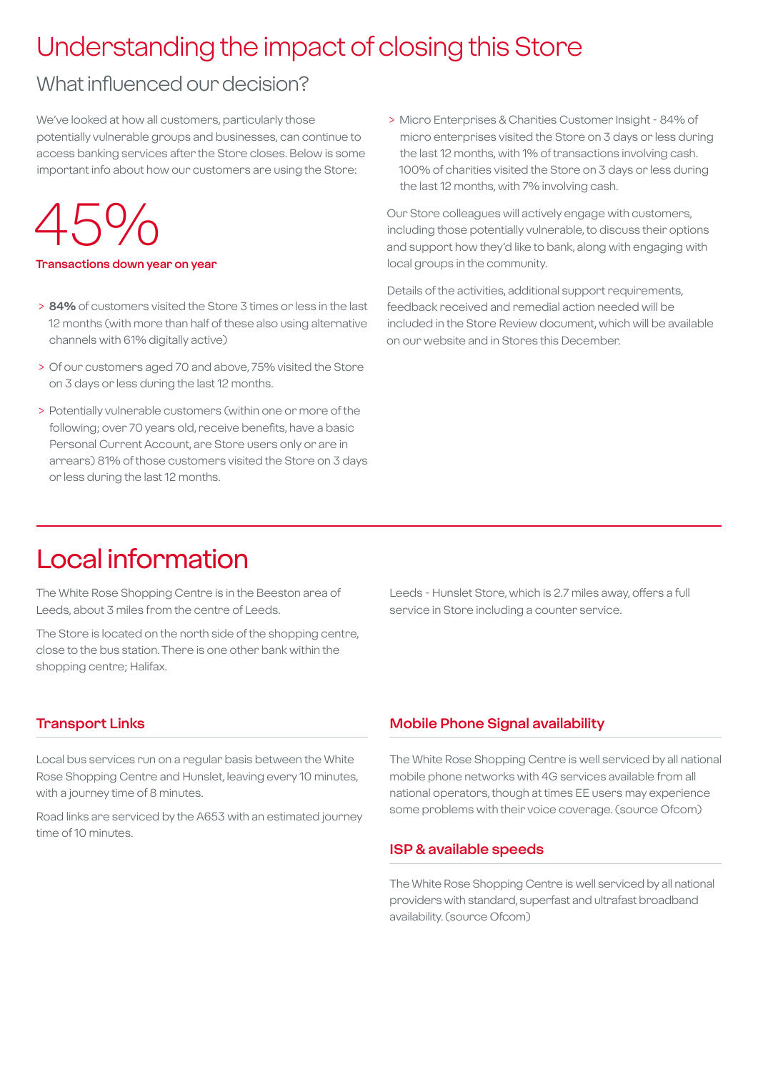## Understanding the impact of closing this Store

## What influenced our decision?

We've looked at how all customers, particularly those potentially vulnerable groups and businesses, can continue to access banking services after the Store closes. Below is some important info about how our customers are using the Store:

## $45%$

#### **Transactions down year on year**

- > **84%** of customers visited the Store 3 times or less in the last 12 months (with more than half of these also using alternative channels with 61% digitally active)
- > Of our customers aged 70 and above, 75% visited the Store on 3 days or less during the last 12 months.
- > Potentially vulnerable customers (within one or more of the following; over 70 years old, receive benefits, have a basic Personal Current Account, are Store users only or are in arrears) 81% of those customers visited the Store on 3 days or less during the last 12 months.

 > Micro Enterprises & Charities Customer Insight - 84% of micro enterprises visited the Store on 3 days or less during the last 12 months, with 1% of transactions involving cash. 100% of charities visited the Store on 3 days or less during the last 12 months, with 7% involving cash.

Our Store colleagues will actively engage with customers, including those potentially vulnerable, to discuss their options and support how they'd like to bank, along with engaging with local groups in the community.

Details of the activities, additional support requirements, feedback received and remedial action needed will be included in the Store Review document, which will be available on our website and in Stores this December.

## Local information

The White Rose Shopping Centre is in the Beeston area of Leeds, about 3 miles from the centre of Leeds.

The Store is located on the north side of the shopping centre, close to the bus station. There is one other bank within the shopping centre; Halifax.

**Transport Links**

Local bus services run on a regular basis between the White Rose Shopping Centre and Hunslet, leaving every 10 minutes, with a journey time of 8 minutes.

Road links are serviced by the A653 with an estimated journey time of 10 minutes.

Leeds - Hunslet Store, which is 2.7 miles away, offers a full service in Store including a counter service.

#### **Mobile Phone Signal availability**

The White Rose Shopping Centre is well serviced by all national mobile phone networks with 4G services available from all national operators, though at times EE users may experience some problems with their voice coverage. (source Ofcom)

#### **ISP & available speeds**

The White Rose Shopping Centre is well serviced by all national providers with standard, superfast and ultrafast broadband availability. (source Ofcom)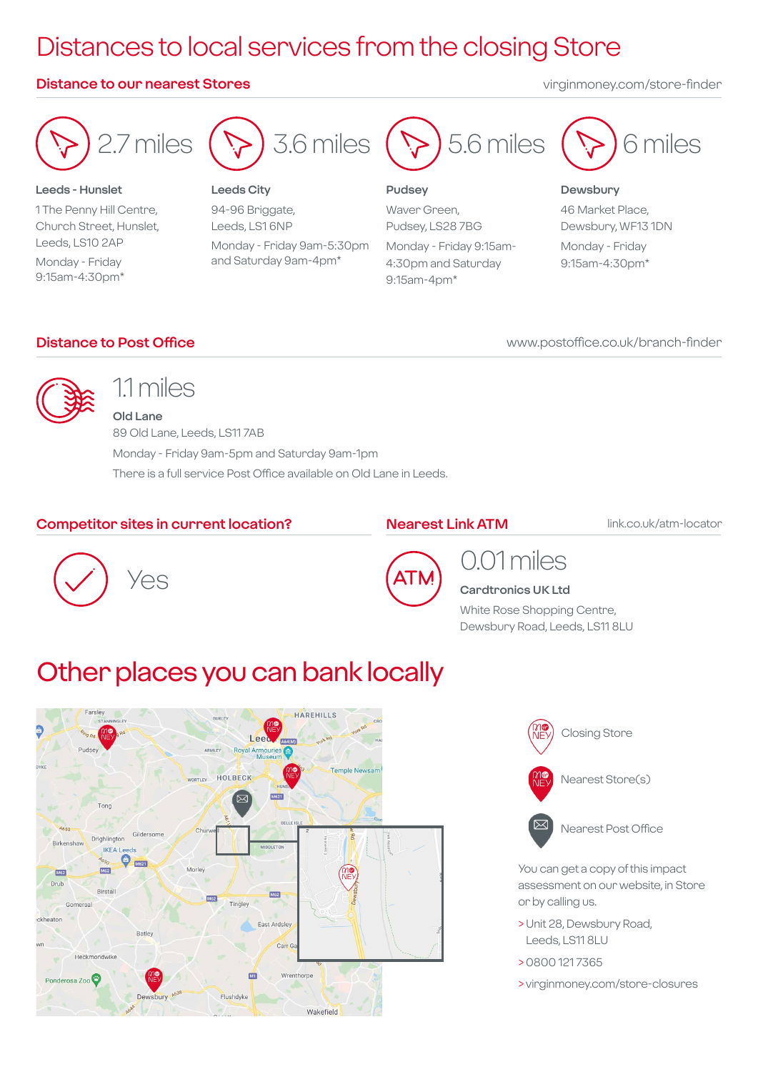## Distances to local services from the closing Store

#### **Distance to our nearest Stores** virginmoney.com/store-finder



94-96 Briggate, Leeds, LS1 6NP Monday - Friday 9am-5:30pm and Saturday 9am-4pm\*

Waver Green, Pudsey, LS28 7BG Monday - Friday 9:15am-

4:30pm and Saturday 9:15am-4pm\*



#### **Dewsbury**

46 Market Place, Dewsbury, WF13 1DN Monday - Friday 9:15am-4:30pm\*

#### **Distance to Post Office**

Church Street, Hunslet, Leeds, LS10 2AP Monday - Friday 9:15am-4:30pm\*

www.postoffice.co.uk/branch-finder



## 1.1 miles

**Old Lane** 89 Old Lane, Leeds, LS11 7AB Monday - Friday 9am-5pm and Saturday 9am-1pm There is a full service Post Office available on Old Lane in Leeds.

#### **Competitor sites in current location?**

#### **Nearest Link ATM**

link.co.uk/atm-locator





### 0.01 miles **Cardtronics UK Ltd**

White Rose Shopping Centre, Dewsbury Road, Leeds, LS11 8LU

## Other places you can bank locally





Nearest Post Office

You can get a copy of this impact assessment on our website, in Store or by calling us.

- > Unit 28, Dewsbury Road, Leeds, LS11 8LU
- > 0800 121 7365
- > virginmoney.com/store-closures